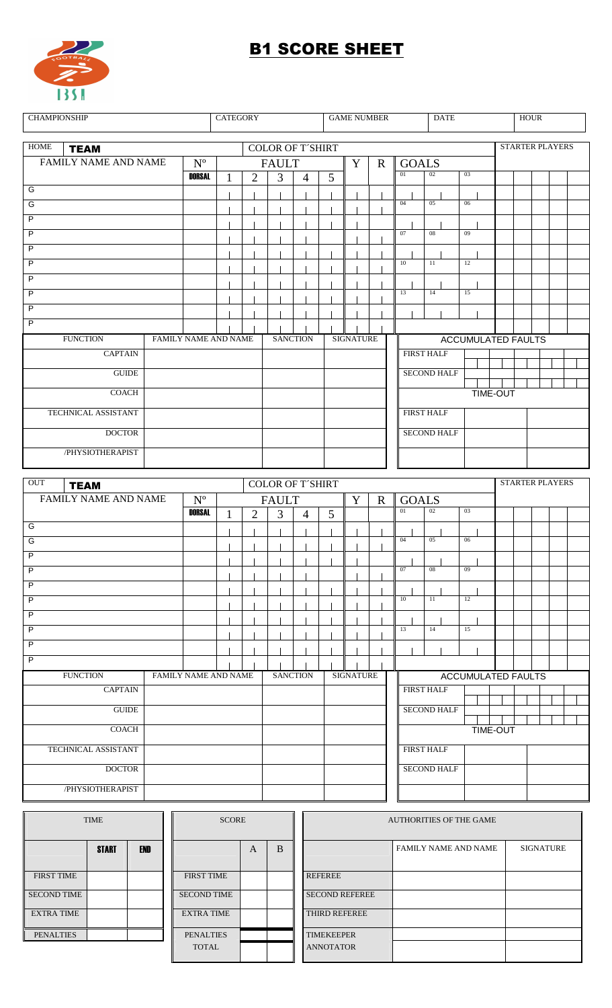

## **B1 SCORE SHEET**

| <b>CHAMPIONSHIP</b>                                              |                      |                         | <b>CATEGORY</b> |                |                                                        |                         | <b>GAME NUMBER</b> |                  |             | <b>DATE</b>  |                    | <b>HOUR</b>    |                           |                           |                        |  |  |
|------------------------------------------------------------------|----------------------|-------------------------|-----------------|----------------|--------------------------------------------------------|-------------------------|--------------------|------------------|-------------|--------------|--------------------|----------------|---------------------------|---------------------------|------------------------|--|--|
| <b>HOME</b>                                                      |                      |                         |                 |                |                                                        |                         |                    |                  |             |              |                    |                | <b>STARTER PLAYERS</b>    |                           |                        |  |  |
| <b>TEAM</b><br>FAMILY NAME AND NAME<br>$\mathbf{N}^{\mathrm{o}}$ |                      |                         |                 |                | <b>COLOR OF T'SHIRT</b><br><b>FAULT</b><br>$\mathbf Y$ |                         |                    |                  |             | <b>GOALS</b> |                    |                |                           |                           |                        |  |  |
|                                                                  |                      | <b>DORSAL</b>           | 1               | $\overline{2}$ | $\overline{3}$                                         | $\overline{4}$          | 5                  |                  | $\mathbf R$ | 01           | 02                 | 03             |                           |                           |                        |  |  |
| G                                                                |                      |                         |                 |                |                                                        |                         |                    |                  |             |              |                    |                |                           |                           |                        |  |  |
| G                                                                |                      |                         |                 |                |                                                        |                         |                    |                  |             | 04           | 05                 | 06             |                           |                           |                        |  |  |
| $\overline{P}$                                                   |                      |                         |                 |                |                                                        |                         |                    |                  |             |              |                    |                |                           |                           |                        |  |  |
| $\overline{P}$                                                   |                      |                         |                 |                |                                                        |                         |                    |                  |             | 07           | 08                 | 09             |                           |                           |                        |  |  |
| $\overline{P}$                                                   |                      |                         |                 |                |                                                        |                         |                    |                  |             |              |                    |                |                           |                           |                        |  |  |
| $\overline{P}$                                                   |                      |                         |                 |                |                                                        |                         |                    |                  |             | 10           | 11                 | 12             |                           |                           |                        |  |  |
| $\overline{P}$                                                   |                      |                         |                 |                |                                                        |                         |                    |                  |             |              |                    |                |                           |                           |                        |  |  |
| $\overline{P}$                                                   |                      |                         |                 |                |                                                        |                         |                    |                  |             | 13           | 14                 | 15             |                           |                           |                        |  |  |
| $\overline{P}$                                                   |                      |                         |                 |                |                                                        |                         |                    |                  |             |              |                    |                |                           |                           |                        |  |  |
| $\overline{P}$                                                   |                      |                         |                 |                |                                                        |                         |                    |                  |             |              |                    |                |                           |                           |                        |  |  |
| <b>FUNCTION</b><br><b>CAPTAIN</b>                                | FAMILY NAME AND NAME |                         |                 |                |                                                        | <b>SANCTION</b>         |                    | <b>SIGNATURE</b> |             |              | <b>FIRST HALF</b>  |                |                           | <b>ACCUMULATED FAULTS</b> |                        |  |  |
|                                                                  |                      |                         |                 |                |                                                        |                         |                    |                  |             |              |                    |                |                           |                           |                        |  |  |
| <b>GUIDE</b>                                                     |                      |                         |                 |                |                                                        |                         |                    |                  |             |              | <b>SECOND HALF</b> |                |                           |                           |                        |  |  |
| <b>COACH</b>                                                     |                      |                         |                 |                |                                                        |                         |                    |                  |             |              |                    |                | <b>TIME-OUT</b>           |                           |                        |  |  |
| TECHNICAL ASSISTANT                                              |                      |                         |                 |                |                                                        |                         |                    |                  |             |              | <b>FIRST HALF</b>  |                |                           |                           |                        |  |  |
| <b>DOCTOR</b>                                                    |                      |                         |                 |                |                                                        |                         |                    |                  |             |              | <b>SECOND HALF</b> |                |                           |                           |                        |  |  |
| /PHYSIOTHERAPIST                                                 |                      |                         |                 |                |                                                        |                         |                    |                  |             |              |                    |                |                           |                           |                        |  |  |
|                                                                  |                      |                         |                 |                |                                                        |                         |                    |                  |             |              |                    |                |                           |                           |                        |  |  |
|                                                                  |                      |                         |                 |                |                                                        |                         |                    |                  |             |              |                    |                |                           |                           |                        |  |  |
| OUT<br><b>TEAM</b>                                               |                      |                         |                 |                |                                                        | <b>COLOR OF T'SHIRT</b> |                    |                  |             |              |                    |                |                           |                           | <b>STARTER PLAYERS</b> |  |  |
| FAMILY NAME AND NAME                                             |                      | $\mathbf{N}^{\text{o}}$ |                 |                | <b>FAULT</b>                                           |                         |                    | $\mathbf Y$      | $\mathbf R$ | <b>GOALS</b> |                    |                |                           |                           |                        |  |  |
|                                                                  |                      | <b>DORSAL</b>           | 1               | $\overline{2}$ | 3                                                      | $\overline{4}$          | 5                  |                  |             | 01           | 02                 | 0 <sub>3</sub> |                           |                           |                        |  |  |
| G                                                                |                      |                         |                 |                |                                                        |                         |                    |                  |             |              |                    |                |                           |                           |                        |  |  |
| G                                                                |                      |                         |                 |                |                                                        |                         |                    |                  |             | 04           | 05                 | 06             |                           |                           |                        |  |  |
| $\overline{P}$                                                   |                      |                         |                 |                |                                                        |                         |                    |                  |             |              |                    |                |                           |                           |                        |  |  |
| P                                                                |                      |                         |                 |                |                                                        |                         |                    |                  |             | 07           | 08                 | 09             |                           |                           |                        |  |  |
| $\mathsf P$                                                      |                      |                         |                 |                |                                                        |                         |                    |                  |             | 10           | 11                 | 12             |                           |                           |                        |  |  |
| $\mathsf P$<br>$\overline{P}$                                    |                      |                         |                 |                |                                                        |                         |                    |                  |             |              |                    |                |                           |                           |                        |  |  |
| $\overline{P}$                                                   |                      |                         |                 |                |                                                        |                         |                    |                  |             | 13           | 14                 | 15             |                           |                           |                        |  |  |
| $\overline{P}$                                                   |                      |                         |                 |                |                                                        |                         |                    |                  |             |              |                    |                |                           |                           |                        |  |  |
| $\overline{P}$                                                   |                      |                         |                 |                |                                                        |                         |                    |                  |             |              |                    |                |                           |                           |                        |  |  |
| <b>FUNCTION</b>                                                  | FAMILY NAME AND NAME |                         |                 |                |                                                        | <b>SANCTION</b>         |                    | <b>SIGNATURE</b> |             |              |                    |                | <b>ACCUMULATED FAULTS</b> |                           |                        |  |  |
| <b>CAPTAIN</b>                                                   |                      |                         |                 |                |                                                        |                         |                    |                  |             |              | <b>FIRST HALF</b>  |                |                           |                           |                        |  |  |
| $\operatorname{GUIDE}$                                           |                      |                         |                 |                |                                                        |                         |                    |                  |             |              | <b>SECOND HALF</b> |                |                           |                           |                        |  |  |
|                                                                  |                      |                         |                 |                |                                                        |                         |                    |                  |             |              |                    |                |                           |                           |                        |  |  |
| COACH                                                            |                      |                         |                 |                |                                                        |                         |                    |                  |             |              |                    |                | <b>TIME-OUT</b>           |                           |                        |  |  |
| TECHNICAL ASSISTANT                                              |                      |                         |                 |                |                                                        |                         |                    |                  |             |              | <b>FIRST HALF</b>  |                |                           |                           |                        |  |  |
| <b>DOCTOR</b><br>/PHYSIOTHERAPIST                                |                      |                         |                 |                |                                                        |                         |                    |                  |             |              | <b>SECOND HALF</b> |                |                           |                           |                        |  |  |

| <b>TIME</b>        |              |     | <b>SCORE</b>       |   |   | <b>AUTHORITIES OF THE GAME</b> |                             |           |  |  |  |  |
|--------------------|--------------|-----|--------------------|---|---|--------------------------------|-----------------------------|-----------|--|--|--|--|
|                    | <b>START</b> | END |                    | A | B |                                | <b>FAMILY NAME AND NAME</b> | SIGNATURE |  |  |  |  |
| <b>FIRST TIME</b>  |              |     | <b>FIRST TIME</b>  |   |   | <b>REFEREE</b>                 |                             |           |  |  |  |  |
| <b>SECOND TIME</b> |              |     | <b>SECOND TIME</b> |   |   | <b>SECOND REFEREE</b>          |                             |           |  |  |  |  |
| <b>EXTRA TIME</b>  |              |     | <b>EXTRA TIME</b>  |   |   | <b>THIRD REFEREE</b>           |                             |           |  |  |  |  |
| <b>PENALTIES</b>   |              |     | <b>PENALTIES</b>   |   |   | <b>TIMEKEEPER</b>              |                             |           |  |  |  |  |
|                    |              |     | <b>TOTAL</b>       |   |   | <b>ANNOTATOR</b>               |                             |           |  |  |  |  |